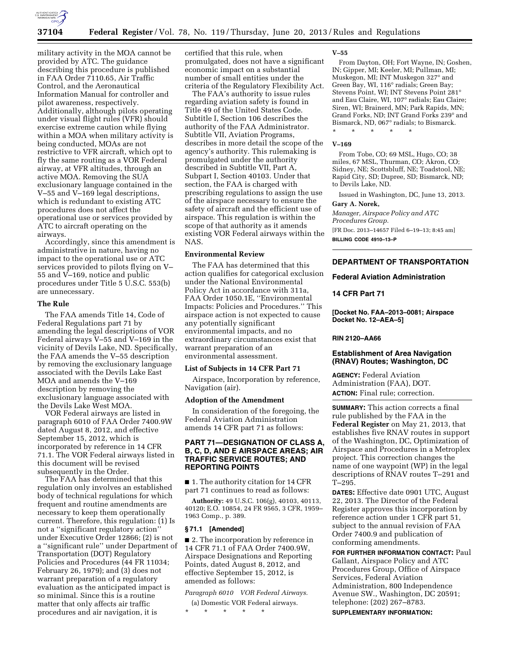

military activity in the MOA cannot be provided by ATC. The guidance describing this procedure is published in FAA Order 7110.65, Air Traffic Control, and the Aeronautical Information Manual for controller and pilot awareness, respectively. Additionally, although pilots operating under visual flight rules (VFR) should exercise extreme caution while flying within a MOA when military activity is being conducted, MOAs are not restrictive to VFR aircraft, which opt to fly the same routing as a VOR Federal airway, at VFR altitudes, through an active MOA. Removing the SUA exclusionary language contained in the V–55 and V–169 legal descriptions, which is redundant to existing ATC procedures does not affect the operational use or services provided by ATC to aircraft operating on the airways.

Accordingly, since this amendment is administrative in nature, having no impact to the operational use or ATC services provided to pilots flying on V– 55 and V–169, notice and public procedures under Title 5 U.S.C. 553(b) are unnecessary.

### **The Rule**

The FAA amends Title 14, Code of Federal Regulations part 71 by amending the legal descriptions of VOR Federal airways V–55 and V–169 in the vicinity of Devils Lake, ND. Specifically, the FAA amends the V–55 description by removing the exclusionary language associated with the Devils Lake East MOA and amends the V–169 description by removing the exclusionary language associated with the Devils Lake West MOA.

VOR Federal airways are listed in paragraph 6010 of FAA Order 7400.9W dated August 8, 2012, and effective September 15, 2012, which is incorporated by reference in 14 CFR 71.1. The VOR Federal airways listed in this document will be revised subsequently in the Order.

The FAA has determined that this regulation only involves an established body of technical regulations for which frequent and routine amendments are necessary to keep them operationally current. Therefore, this regulation: (1) Is not a ''significant regulatory action'' under Executive Order 12866; (2) is not a ''significant rule'' under Department of Transportation (DOT) Regulatory Policies and Procedures (44 FR 11034; February 26, 1979); and (3) does not warrant preparation of a regulatory evaluation as the anticipated impact is so minimal. Since this is a routine matter that only affects air traffic procedures and air navigation, it is

certified that this rule, when promulgated, does not have a significant economic impact on a substantial number of small entities under the criteria of the Regulatory Flexibility Act.

The FAA's authority to issue rules regarding aviation safety is found in Title 49 of the United States Code. Subtitle I, Section 106 describes the authority of the FAA Administrator. Subtitle VII, Aviation Programs, describes in more detail the scope of the agency's authority. This rulemaking is promulgated under the authority described in Subtitle VII, Part A, Subpart I, Section 40103. Under that section, the FAA is charged with prescribing regulations to assign the use of the airspace necessary to ensure the safety of aircraft and the efficient use of airspace. This regulation is within the scope of that authority as it amends existing VOR Federal airways within the NAS.

## **Environmental Review**

The FAA has determined that this action qualifies for categorical exclusion under the National Environmental Policy Act in accordance with 311a, FAA Order 1050.1E, ''Environmental Impacts: Policies and Procedures.'' This airspace action is not expected to cause any potentially significant environmental impacts, and no extraordinary circumstances exist that warrant preparation of an environmental assessment.

## **List of Subjects in 14 CFR Part 71**

Airspace, Incorporation by reference, Navigation (air).

### **Adoption of the Amendment**

In consideration of the foregoing, the Federal Aviation Administration amends 14 CFR part 71 as follows:

## **PART 71—DESIGNATION OF CLASS A, B, C, D, AND E AIRSPACE AREAS; AIR TRAFFIC SERVICE ROUTES; AND REPORTING POINTS**

■ 1. The authority citation for 14 CFR part 71 continues to read as follows:

**Authority:** 49 U.S.C. 106(g), 40103, 40113, 40120; E.O. 10854, 24 FR 9565, 3 CFR, 1959– 1963 Comp., p. 389.

### **§ 71.1 [Amended]**

■ 2. The incorporation by reference in 14 CFR 71.1 of FAA Order 7400.9W, Airspace Designations and Reporting Points, dated August 8, 2012, and effective September 15, 2012, is amended as follows:

*Paragraph 6010 VOR Federal Airways.* 

(a) Domestic VOR Federal airways. \* \* \* \* \*

#### **V–55**

From Dayton, OH; Fort Wayne, IN; Goshen, IN; Gipper, MI; Keeler, MI; Pullman, MI; Muskegon, MI; INT Muskegon 327° and Green Bay, WI, 116° radials; Green Bay; Stevens Point, WI; INT Stevens Point 281° and Eau Claire, WI, 107° radials; Eau Claire; Siren, WI; Brainerd, MN; Park Rapids, MN; Grand Forks, ND; INT Grand Forks 239° and Bismarck, ND, 067° radials; to Bismarck. \* \* \* \* \*

#### **V–169**

From Tobe, CO; 69 MSL, Hugo, CO; 38 miles, 67 MSL, Thurman, CO; Akron, CO; Sidney, NE; Scottsbluff, NE; Toadstool, NE; Rapid City, SD; Dupree, SD; Bismarck, ND; to Devils Lake, ND.

Issued in Washington, DC, June 13, 2013.

# **Gary A. Norek,**

*Manager, Airspace Policy and ATC Procedures Group.*  [FR Doc. 2013–14657 Filed 6–19–13; 8:45 am]

**BILLING CODE 4910–13–P** 

## **DEPARTMENT OF TRANSPORTATION**

## **Federal Aviation Administration**

### **14 CFR Part 71**

**[Docket No. FAA–2013–0081; Airspace Docket No. 12–AEA–5]** 

### **RIN 2120–AA66**

## **Establishment of Area Navigation (RNAV) Routes; Washington, DC**

**AGENCY:** Federal Aviation Administration (FAA), DOT. **ACTION:** Final rule; correction.

**SUMMARY:** This action corrects a final rule published by the FAA in the **Federal Register** on May 21, 2013, that establishes five RNAV routes in support of the Washington, DC, Optimization of Airspace and Procedures in a Metroplex project. This correction changes the name of one waypoint (WP) in the legal descriptions of RNAV routes T–291 and T–295.

**DATES:** Effective date 0901 UTC, August 22, 2013. The Director of the Federal Register approves this incorporation by reference action under 1 CFR part 51, subject to the annual revision of FAA Order 7400.9 and publication of conforming amendments.

**FOR FURTHER INFORMATION CONTACT:** Paul Gallant, Airspace Policy and ATC Procedures Group, Office of Airspace Services, Federal Aviation Administration, 800 Independence Avenue SW., Washington, DC 20591; telephone: (202) 267–8783.

**SUPPLEMENTARY INFORMATION:**